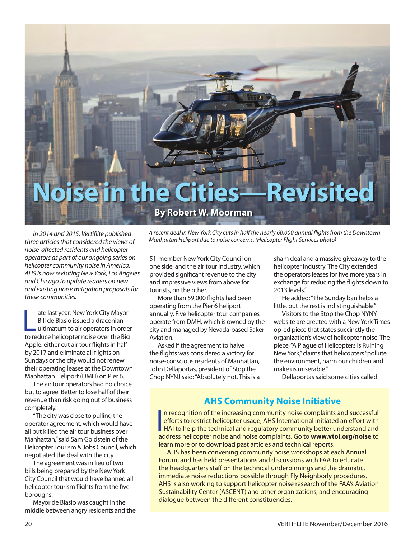

*In 2014 and 2015, Vertiflite published three articles that considered the views of noise-affected residents and helicopter operators as part of our ongoing series on helicopter community noise in America. AHS is now revisiting New York, Los Angeles and Chicago to update readers on new and existing noise mitigation proposals for these communities.*

ate last year, New York City Mayor<br>Bill de Blasio issued a draconian<br>ultimatum to air operators in order<br>to reduce helicopter noise over the Big ate last year, New York City Mayor Bill de Blasio issued a draconian ultimatum to air operators in order Apple: either cut air tour flights in half by 2017 and eliminate all flights on Sundays or the city would not renew their operating leases at the Downtown Manhattan Heliport (DMH) on Pier 6.

The air tour operators had no choice but to agree. Better to lose half of their revenue than risk going out of business completely.

"The city was close to pulling the operator agreement, which would have all but killed the air tour business over Manhattan," said Sam Goldstein of the Helicopter Tourism & Jobs Council, which negotiated the deal with the city.

The agreement was in lieu of two bills being prepared by the New York City Council that would have banned all helicopter tourism flights from the five boroughs.

Mayor de Blasio was caught in the middle between angry residents and the *A recent deal in New York City cuts in half the nearly 60,000 annual flights from the Downtown Manhattan Heliport due to noise concerns. (Helicopter Flight Services photo)*

51-member New York City Council on one side, and the air tour industry, which provided significant revenue to the city and impressive views from above for tourists, on the other.

More than 59,000 flights had been operating from the Pier 6 heliport annually. Five helicopter tour companies operate from DMH, which is owned by the city and managed by Nevada-based Saker Aviation.

Asked if the agreement to halve the flights was considered a victory for noise-conscious residents of Manhattan, John Dellaportas, president of Stop the Chop NYNJ said: "Absolutely not. This is a sham deal and a massive giveaway to the helicopter industry. The City extended the operators leases for five more years in exchange for reducing the flights down to 2013 levels."

He added: "The Sunday ban helps a little, but the rest is indistinguishable."

Visitors to the Stop the Chop NYNY website are greeted with a New York Times op-ed piece that states succinctly the organization's view of helicopter noise. The piece, "A Plague of Helicopters is Ruining New York," claims that helicopters "pollute the environment, harm our children and make us miserable."

Dellaportas said some cities called

#### **AHS Community Noise Initiative**

In recognition of the increasing community noise complaints and successful<br>efforts to restrict helicopter usage, AHS International initiated an effort with<br>HAI to help the technical and regulatory community better understa n recognition of the increasing community noise complaints and successful efforts to restrict helicopter usage, AHS International initiated an effort with address helicopter noise and noise complaints. Go to **www.vtol.org/noise** to learn more or to download past articles and technical reports.

AHS has been convening community noise workshops at each Annual Forum, and has held presentations and discussions with FAA to educate the headquarters staff on the technical underpinnings and the dramatic, immediate noise reductions possible through Fly Neighborly procedures. AHS is also working to support helicopter noise research of the FAA's Aviation Sustainability Center (ASCENT) and other organizations, and encouraging dialogue between the different constituencies.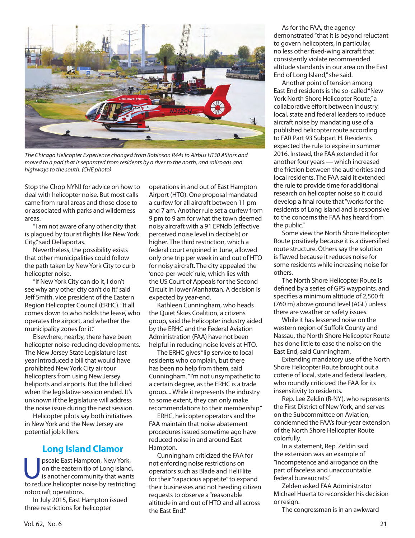

*The Chicago Helicopter Experience changed from Robinson R44s to Airbus H130 AStars and moved to a pad that is separated from residents by a river to the north, and railroads and highways to the south. (CHE photo)*

Stop the Chop NYNJ for advice on how to deal with helicopter noise. But most calls came from rural areas and those close to or associated with parks and wilderness areas.

"I am not aware of any other city that is plagued by tourist flights like New York City," said Dellaportas.

Nevertheless, the possibility exists that other municipalities could follow the path taken by New York City to curb helicopter noise.

"If New York City can do it, I don't see why any other city can't do it," said Jeff Smith, vice president of the Eastern Region Helicopter Council (ERHC). "It all comes down to who holds the lease, who operates the airport, and whether the municipality zones for it."

Elsewhere, nearby, there have been helicopter noise-reducing developments. The New Jersey State Legislature last year introduced a bill that would have prohibited New York City air tour helicopters from using New Jersey heliports and airports. But the bill died when the legislative session ended. It's unknown if the legislature will address the noise issue during the next session.

Helicopter pilots say both initiatives in New York and the New Jersey are potential job killers.

#### **Long Island Clamor**

**Upscale East Hampton, New York,<br>
on the eastern tip of Long Island,<br>
is another community that want:<br>
to reduce beliconter poise by restricting** on the eastern tip of Long Island, is another community that wants to reduce helicopter noise by restricting rotorcraft operations.

In July 2015, East Hampton issued three restrictions for helicopter

operations in and out of East Hampton Airport (HTO). One proposal mandated a curfew for all aircraft between 11 pm and 7 am. Another rule set a curfew from 9 pm to 9 am for what the town deemed noisy aircraft with a 91 EPNdb (effective perceived noise level in decibels) or higher. The third restriction, which a federal court enjoined in June, allowed only one trip per week in and out of HTO for noisy aircraft. The city appealed the 'once-per-week' rule, which lies with the US Court of Appeals for the Second Circuit in lower Manhattan. A decision is expected by year-end.

Kathleen Cunningham, who heads the Quiet Skies Coalition, a citizens group, said the helicopter industry aided by the ERHC and the Federal Aviation Administration (FAA) have not been helpful in reducing noise levels at HTO.

The ERHC gives "lip service to local residents who complain, but there has been no help from them, said Cunningham. "I'm not unsympathetic to a certain degree, as the ERHC is a trade group.... While it represents the industry to some extent, they can only make recommendations to their membership."

ERHC, helicopter operators and the FAA maintain that noise abatement procedures issued sometime ago have reduced noise in and around East Hampton.

Cunningham criticized the FAA for not enforcing noise restrictions on operators such as Blade and HeliFlite for their "rapacious appetite" to expand their businesses and not heeding citizen requests to observe a "reasonable altitude in and out of HTO and all across the East End."

As for the FAA, the agency demonstrated "that it is beyond reluctant to govern helicopters, in particular, no less other fixed-wing aircraft that consistently violate recommended altitude standards in our area on the East End of Long Island," she said.

Another point of tension among East End residents is the so-called "New York North Shore Helicopter Route," a collaborative effort between industry, local, state and federal leaders to reduce aircraft noise by mandating use of a published helicopter route according to FAR Part 93 Subpart H. Residents expected the rule to expire in summer 2016. Instead, the FAA extended it for another four years — which increased the friction between the authorities and local residents. The FAA said it extended the rule to provide time for additional research on helicopter noise so it could develop a final route that "works for the residents of Long Island and is responsive to the concerns the FAA has heard from the public."

Some view the North Shore Helicopter Route positively because it is a diversified route structure. Others say the solution is flawed because it reduces noise for some residents while increasing noise for others.

The North Shore Helicopter Route is defined by a series of GPS waypoints, and specifies a minimum altitude of 2,500 ft (760 m) above ground level (AGL) unless there are weather or safety issues.

While it has lessened noise on the western region of Suffolk County and Nassau, the North Shore Helicopter Route has done little to ease the noise on the East End, said Cunningham.

Extending mandatory use of the North Shore Helicopter Route brought out a coterie of local, state and federal leaders, who roundly criticized the FAA for its insensitivity to residents.

Rep. Lee Zeldin (R-NY), who represents the First District of New York, and serves on the Subcommittee on Aviation, condemned the FAA's four-year extension of the North Shore Helicopter Route colorfully.

In a statement, Rep. Zeldin said the extension was an example of "incompetence and arrogance on the part of faceless and unaccountable federal bureaucrats."

Zelden asked FAA Administrator Michael Huerta to reconsider his decision or resign.

The congressman is in an awkward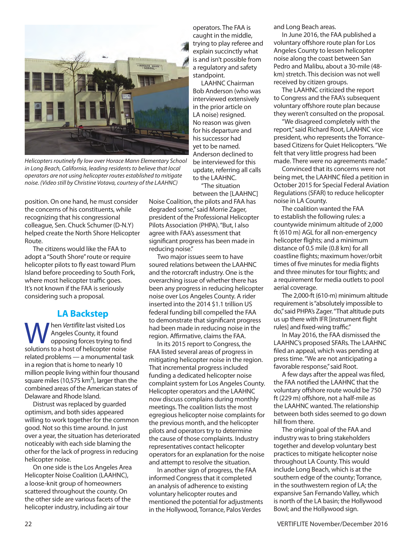

*Helicopters routinely fly low over Horace Mann Elementary School in Long Beach, California, leading residents to believe that local operators are not using helicopter routes established to mitigate noise. (Video still by Christine Votava, courtesy of the LAAHNC)*

position. On one hand, he must consider the concerns of his constituents, while recognizing that his congressional colleague, Sen. Chuck Schumer (D-N.Y) helped create the North Shore Helicopter Route.

The citizens would like the FAA to adopt a "South Shore" route or require helicopter pilots to fly east toward Plum Island before proceeding to South Fork, where most helicopter traffic goes. It's not known if the FAA is seriously considering such a proposal.

## **LA Backstep**

**W** hen *Vertiflite* last visited Los<br>
opposing forces trying to find<br>
solutions to a bost of beliconter poise Angeles County, it found solutions to a host of helicopter noise related problems — a monumental task in a region that is home to nearly 10 million people living within four thousand square miles (10,575  $km<sup>2</sup>$ ), larger than the combined areas of the American states of Delaware and Rhode Island.

Distrust was replaced by guarded optimism, and both sides appeared willing to work together for the common good. Not so this time around. In just over a year, the situation has deteriorated noticeably with each side blaming the other for the lack of progress in reducing helicopter noise.

On one side is the Los Angeles Area Helicopter Noise Coalition (LAAHNC), a loose-knit group of homeowners scattered throughout the county. On the other side are various facets of the helicopter industry, including air tour

operators. The FAA is caught in the middle, trying to play referee and explain succinctly what is and isn't possible from a regulatory and safety standpoint.

LAAHNC Chairman Bob Anderson (who was interviewed extensively in the prior article on LA noise) resigned. No reason was given for his departure and his successor had yet to be named. Anderson declined to be interviewed for this update, referring all calls to the LAAHNC.

"The situation between the [LAAHNC]

Noise Coalition, the pilots and FAA has degraded some," said Morrie Zager, president of the Professional Helicopter Pilots Association (PHPA). "But, I also agree with FAA's assessment that significant progress has been made in reducing noise."

Two major issues seem to have soured relations between the LAAHNC and the rotorcraft industry. One is the overarching issue of whether there has been any progress in reducing helicopter noise over Los Angeles County. A rider inserted into the 2014 \$1.1 trillion US federal funding bill compelled the FAA to demonstrate that significant progress had been made in reducing noise in the region. Affirmative, claims the FAA.

In its 2015 report to Congress, the FAA listed several areas of progress in mitigating helicopter noise in the region. That incremental progress included funding a dedicated helicopter noise complaint system for Los Angeles County. Helicopter operators and the LAAHNC now discuss complains during monthly meetings. The coalition lists the most egregious helicopter noise complaints for the previous month, and the helicopter pilots and operators try to determine the cause of those complaints. Industry representatives contact helicopter operators for an explanation for the noise and attempt to resolve the situation.

In another sign of progress, the FAA informed Congress that it completed an analysis of adherence to existing voluntary helicopter routes and mentioned the potential for adjustments in the Hollywood, Torrance, Palos Verdes

and Long Beach areas.

In June 2016, the FAA published a voluntary offshore route plan for Los Angeles County to lessen helicopter noise along the coast between San Pedro and Malibu, about a 30-mile (48 km) stretch. This decision was not well received by citizen groups.

The LAAHNC criticized the report to Congress and the FAA's subsequent voluntary offshore route plan because they weren't consulted on the proposal.

"We disagreed completely with the report," said Richard Root, LAAHNC vice president, who represents the Torrancebased Citizens for Quiet Helicopters. "We felt that very little progress had been made. There were no agreements made."

Convinced that its concerns were not being met, the LAAHNC filed a petition in October 2015 for Special Federal Aviation Regulations (SFAR) to reduce helicopter noise in LA County.

The coalition wanted the FAA to establish the following rules: a countywide minimum altitude of 2,000 ft (610 m) AGL for all non-emergency helicopter flights; and a minimum distance of 0.5 mile (0.8 km) for all coastline flights; maximum hover/orbit times of five minutes for media flights and three minutes for tour flights; and a requirement for media outlets to pool aerial coverage.

The 2,000-ft (610-m) minimum altitude requirement is "absolutely impossible to do," said PHPA's Zager. "That altitude puts us up there with IFR [instrument flight rules] and fixed-wing traffic."

In May 2016, the FAA dismissed the LAAHNC's proposed SFARs. The LAAHNC filed an appeal, which was pending at press time. "We are not anticipating a favorable response," said Root.

A few days after the appeal was filed, the FAA notified the LAAHNC that the voluntary offshore route would be 750 ft (229 m) offshore, not a half-mile as the LAAHNC wanted. The relationship between both sides seemed to go down hill from there.

The original goal of the FAA and industry was to bring stakeholders together and develop voluntary best practices to mitigate helicopter noise throughout LA County. This would include Long Beach, which is at the southern edge of the county; Torrance, in the southwestern region of LA; the expansive San Fernando Valley, which is north of the LA basin; the Hollywood Bowl; and the Hollywood sign.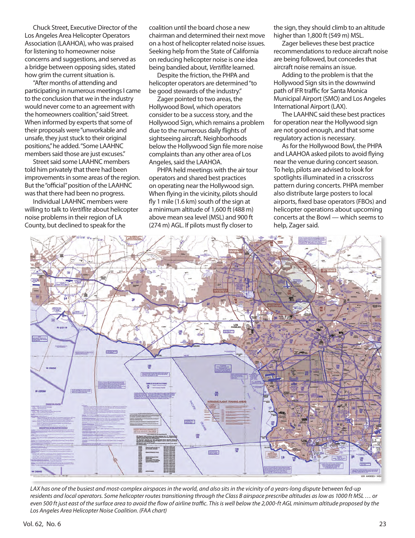Chuck Street, Executive Director of the Los Angeles Area Helicopter Operators Association (LAAHOA), who was praised for listening to homeowner noise concerns and suggestions, and served as a bridge between opposing sides, stated how grim the current situation is.

"After months of attending and participating in numerous meetings I came to the conclusion that we in the industry would never come to an agreement with the homeowners coalition," said Street. When informed by experts that some of their proposals were "unworkable and unsafe, they just stuck to their original positions," he added. "Some LAAHNC members said those are just excuses."

Street said some LAAHNC members told him privately that there had been improvements in some areas of the region. But the "official" position of the LAAHNC was that there had been no progress.

Individual LAAHNC members were willing to talk to *Vertiflite* about helicopter noise problems in their region of LA County, but declined to speak for the

coalition until the board chose a new chairman and determined their next move on a host of helicopter related noise issues. Seeking help from the State of California on reducing helicopter noise is one idea being bandied about, *Vertiflite* learned.

Despite the friction, the PHPA and helicopter operators are determined "to be good stewards of the industry."

Zager pointed to two areas, the Hollywood Bowl, which operators consider to be a success story, and the Hollywood Sign, which remains a problem due to the numerous daily flights of sightseeing aircraft. Neighborhoods below the Hollywood Sign file more noise complaints than any other area of Los Angeles, said the LAAHOA.

PHPA held meetings with the air tour operators and shared best practices on operating near the Hollywood sign. When flying in the vicinity, pilots should fly 1 mile (1.6 km) south of the sign at a minimum altitude of 1,600 ft (488 m) above mean sea level (MSL) and 900 ft (274 m) AGL. If pilots must fly closer to

the sign, they should climb to an altitude higher than 1,800 ft (549 m) MSL.

Zager believes these best practice recommendations to reduce aircraft noise are being followed, but concedes that aircraft noise remains an issue.

Adding to the problem is that the Hollywood Sign sits in the downwind path of IFR traffic for Santa Monica Municipal Airport (SMO) and Los Angeles International Airport (LAX).

The LAAHNC said these best practices for operation near the Hollywood sign are not good enough, and that some regulatory action is necessary.

As for the Hollywood Bowl, the PHPA and LAAHOA asked pilots to avoid flying near the venue during concert season. To help, pilots are advised to look for spotlights illuminated in a crisscross pattern during concerts. PHPA member also distribute large posters to local airports, fixed base operators (FBOs) and helicopter operations about upcoming concerts at the Bowl — which seems to help, Zager said.



*LAX has one of the busiest and most-complex airspaces in the world, and also sits in the vicinity of a years-long dispute between fed-up residents and local operators. Some helicopter routes transitioning through the Class B airspace prescribe altitudes as low as 1000 ft MSL … or*  even 500 ft just east of the surface area to avoid the flow of airline traffic. This is well below the 2,000-ft AGL minimum altitude proposed by the *Los Angeles Area Helicopter Noise Coalition. (FAA chart)*